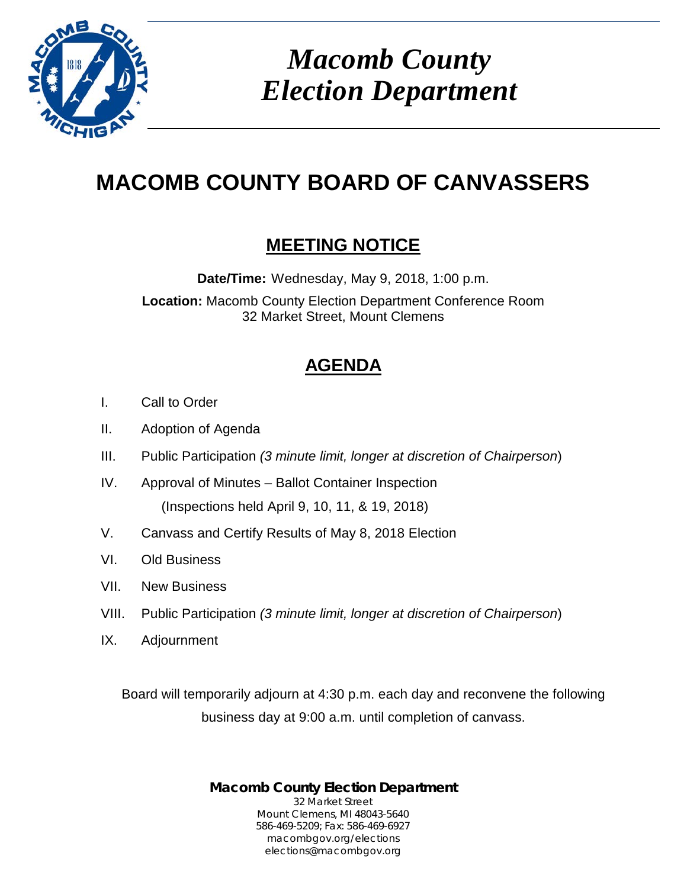

*Macomb County Election Department*

## **MACOMB COUNTY BOARD OF CANVASSERS**

## **MEETING NOTICE**

**Date/Time:** Wednesday, May 9, 2018, 1:00 p.m.

**Location:** Macomb County Election Department Conference Room 32 Market Street, Mount Clemens

## **AGENDA**

- I. Call to Order
- II. Adoption of Agenda
- III. Public Participation *(3 minute limit, longer at discretion of Chairperson*)
- IV. Approval of Minutes Ballot Container Inspection (Inspections held April 9, 10, 11, & 19, 2018)
- V. Canvass and Certify Results of May 8, 2018 Election
- VI. Old Business
- VII. New Business
- VIII. Public Participation *(3 minute limit, longer at discretion of Chairperson*)
- IX. Adjournment

Board will temporarily adjourn at 4:30 p.m. each day and reconvene the following business day at 9:00 a.m. until completion of canvass.

> **Macomb County Election Department** 32 Market Street Mount Clemens, MI 48043-5640 586-469-5209; Fax: 586-469-6927 macombgov.org/elections elections@macombgov.org